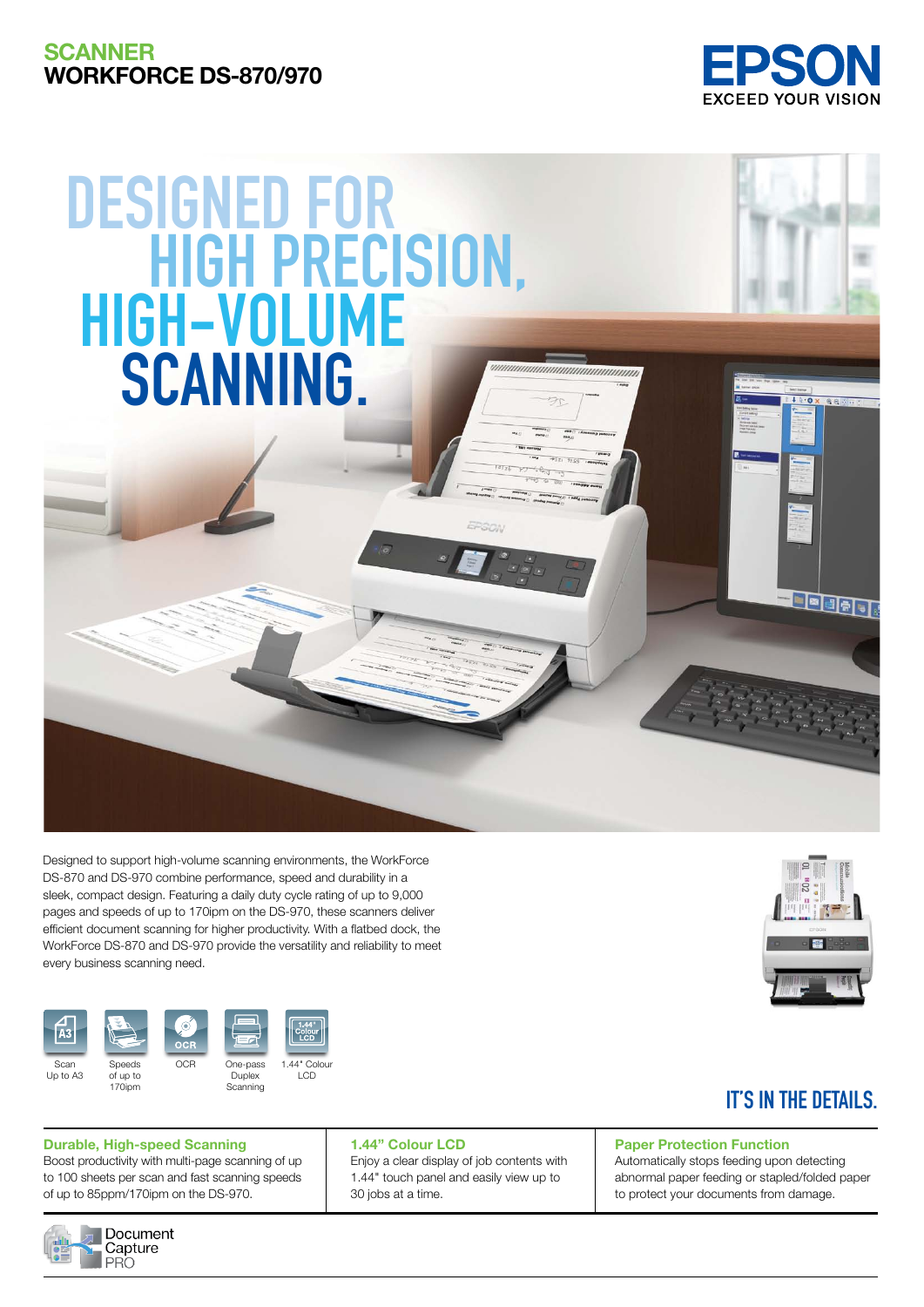# **SCANNER** WORKFORCE DS-870/970



# **DESIGNED FOR<br>HIGH PRECISION, high-volume scanning.**

Designed to support high-volume scanning environments, the WorkForce DS-870 and DS-970 combine performance, speed and durability in a sleek, compact design. Featuring a daily duty cycle rating of up to 9,000 pages and speeds of up to 170ipm on the DS-970, these scanners deliver efficient document scanning for higher productivity. With a flatbed dock, the WorkForce DS-870 and DS-970 provide the versatility and reliability to meet every business scanning need.



#### Durable, High-speed Scanning

Boost productivity with multi-page scanning of up to 100 sheets per scan and fast scanning speeds of up to 85ppm/170ipm on the DS-970.

# 1.44" Colour LCD

Enjoy a clear display of job contents with 1.44" touch panel and easily view up to 30 jobs at a time.

# **IT'S IN THE DETAILS.**

**Ladel** 

Paper Protection Function

Automatically stops feeding upon detecting abnormal paper feeding or stapled/folded paper to protect your documents from damage.

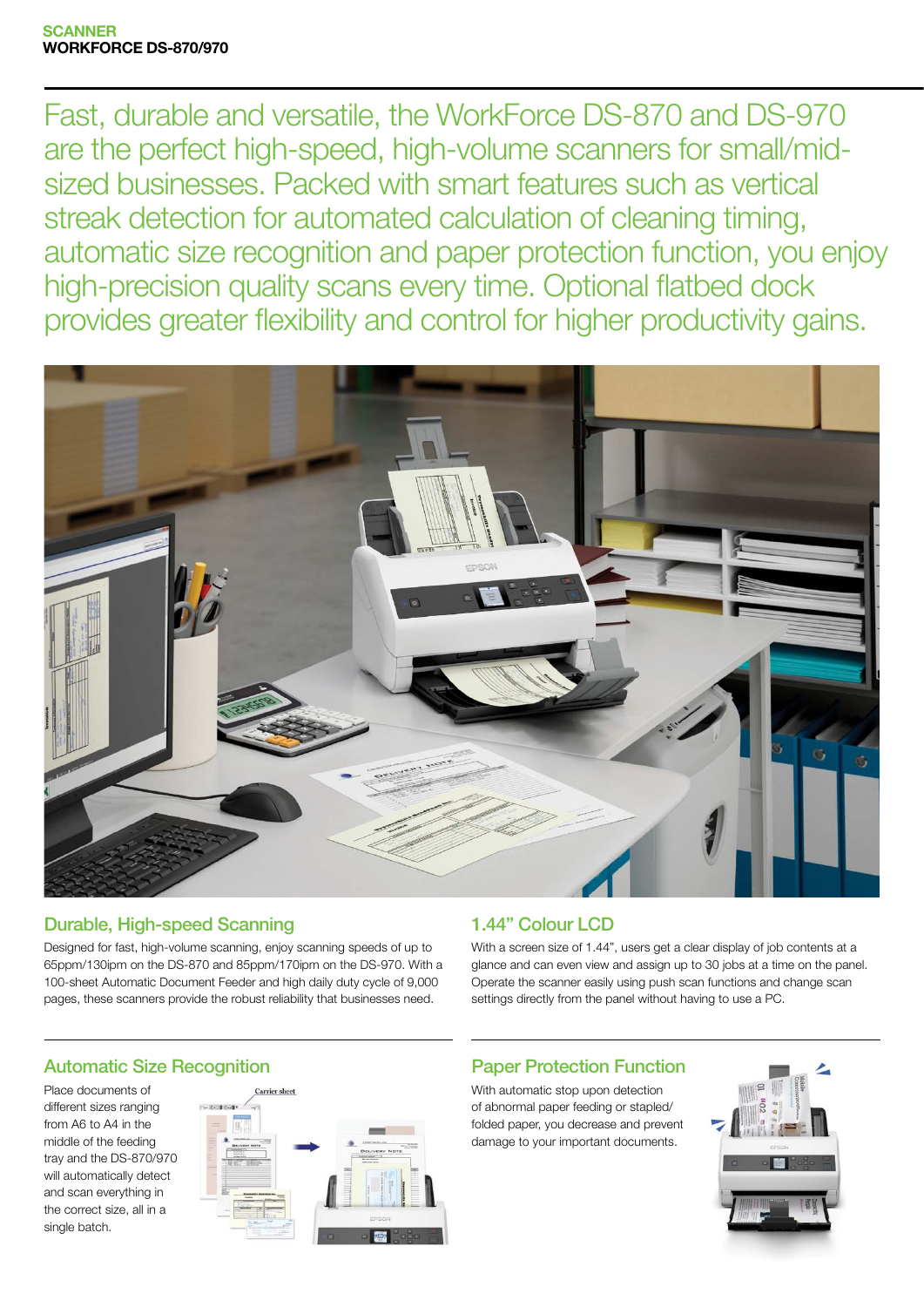Fast, durable and versatile, the WorkForce DS-870 and DS-970 are the perfect high-speed, high-volume scanners for small/midsized businesses. Packed with smart features such as vertical streak detection for automated calculation of cleaning timing, automatic size recognition and paper protection function, you enjoy high-precision quality scans every time. Optional flatbed dock provides greater flexibility and control for higher productivity gains.



# Durable, High-speed Scanning

Designed for fast, high-volume scanning, enjoy scanning speeds of up to 65ppm/130ipm on the DS-870 and 85ppm/170ipm on the DS-970. With a 100-sheet Automatic Document Feeder and high daily duty cycle of 9,000 pages, these scanners provide the robust reliability that businesses need.

# Automatic Size Recognition

Place documents of different sizes ranging from A6 to A4 in the middle of the feeding tray and the DS-870/970 will automatically detect and scan everything in the correct size, all in a single batch.



# 1.44" Colour LCD

With a screen size of 1.44", users get a clear display of job contents at a glance and can even view and assign up to 30 jobs at a time on the panel. Operate the scanner easily using push scan functions and change scan settings directly from the panel without having to use a PC.

# Paper Protection Function

With automatic stop upon detection of abnormal paper feeding or stapled/ folded paper, you decrease and prevent damage to your important documents.

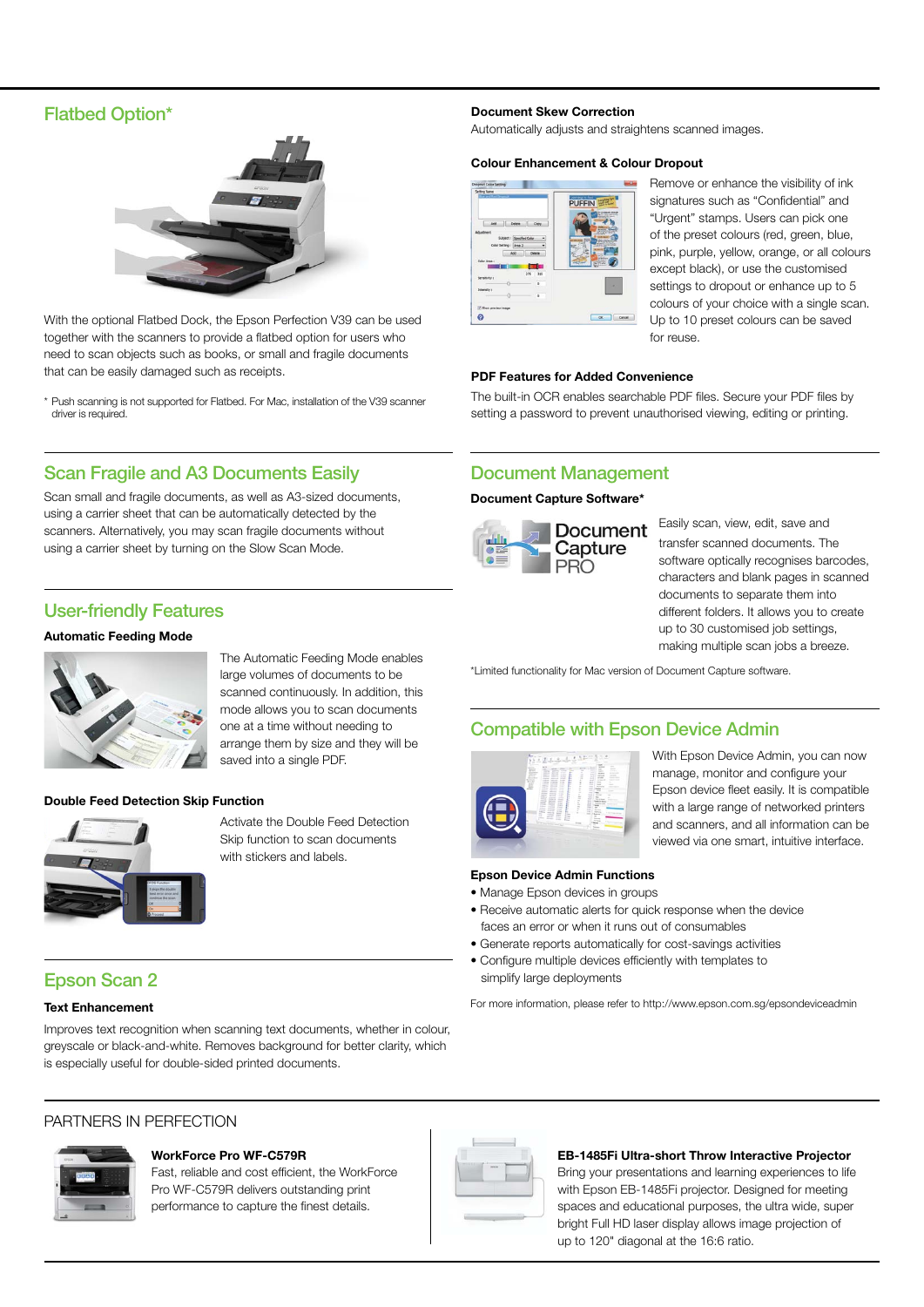# Flatbed Option\*



With the optional Flatbed Dock, the Epson Perfection V39 can be used together with the scanners to provide a flatbed option for users who need to scan objects such as books, or small and fragile documents that can be easily damaged such as receipts.

\* Push scanning is not supported for Flatbed. For Mac, installation of the V39 scanner driver is required.

# Scan Fragile and A3 Documents Easily

Scan small and fragile documents, as well as A3-sized documents, using a carrier sheet that can be automatically detected by the scanners. Alternatively, you may scan fragile documents without using a carrier sheet by turning on the Slow Scan Mode.

#### User-friendly Features

#### Automatic Feeding Mode



The Automatic Feeding Mode enables large volumes of documents to be scanned continuously. In addition, this mode allows you to scan documents one at a time without needing to arrange them by size and they will be saved into a single PDF.

#### Double Feed Detection Skip Function



Activate the Double Feed Detection Skip function to scan documents with stickers and labels.

#### Document Skew Correction

Automatically adjusts and straightens scanned images.

#### Colour Enhancement & Colour Dropout

| Setting Name<br><b>Charles Contained Process All</b>                 |          | PUFFIN SEL               |
|----------------------------------------------------------------------|----------|--------------------------|
| Delete Copy<br>Add<br><b>Adjustment</b><br>Subject : Specified Color |          | 陈宗<br>all to which do to |
| Color Setting : Area 2<br>Add<br>Color Area :                        | Driver   | $\sim$                   |
| 275<br>Senativity 1                                                  | 315<br>a |                          |
| <b>Snitensity:</b><br>a                                              | à        | ٠                        |
| Z Show preview inage                                                 |          |                          |
| ۰                                                                    |          | Carcel<br>$-0.06 -$      |

Remove or enhance the visibility of ink signatures such as "Confidential" and "Urgent" stamps. Users can pick one of the preset colours (red, green, blue, pink, purple, yellow, orange, or all colours except black), or use the customised settings to dropout or enhance up to 5 colours of your choice with a single scan. Up to 10 preset colours can be saved for reuse.

#### PDF Features for Added Convenience

The built-in OCR enables searchable PDF files. Secure your PDF files by setting a password to prevent unauthorised viewing, editing or printing.

## Document Management

#### Document Capture Software\*



Easily scan, view, edit, save and transfer scanned documents. The software optically recognises barcodes, characters and blank pages in scanned documents to separate them into different folders. It allows you to create up to 30 customised job settings, making multiple scan jobs a breeze.

\*Limited functionality for Mac version of Document Capture software.

# Compatible with Epson Device Admin



With Epson Device Admin, you can now manage, monitor and configure your Epson device fleet easily. It is compatible with a large range of networked printers and scanners, and all information can be viewed via one smart, intuitive interface.

#### Epson Device Admin Functions

#### • Manage Epson devices in groups

- Receive automatic alerts for quick response when the device faces an error or when it runs out of consumables
- Generate reports automatically for cost-savings activities
- Configure multiple devices efficiently with templates to simplify large deployments

For more information, please refer to http://www.epson.com.sg/epsondeviceadmin

# Epson Scan 2

#### Text Enhancement

Improves text recognition when scanning text documents, whether in colour, greyscale or black-and-white. Removes background for better clarity, which is especially useful for double-sided printed documents.

## PARTNERS IN PERFECTION



#### WorkForce Pro WF-C579R

Fast, reliable and cost efficient, the WorkForce Pro WF-C579R delivers outstanding print performance to capture the finest details.



#### EB-1485Fi Ultra-short Throw Interactive Projector

Bring your presentations and learning experiences to life with Epson EB-1485Fi projector. Designed for meeting spaces and educational purposes, the ultra wide, super bright Full HD laser display allows image projection of up to 120" diagonal at the 16:6 ratio.